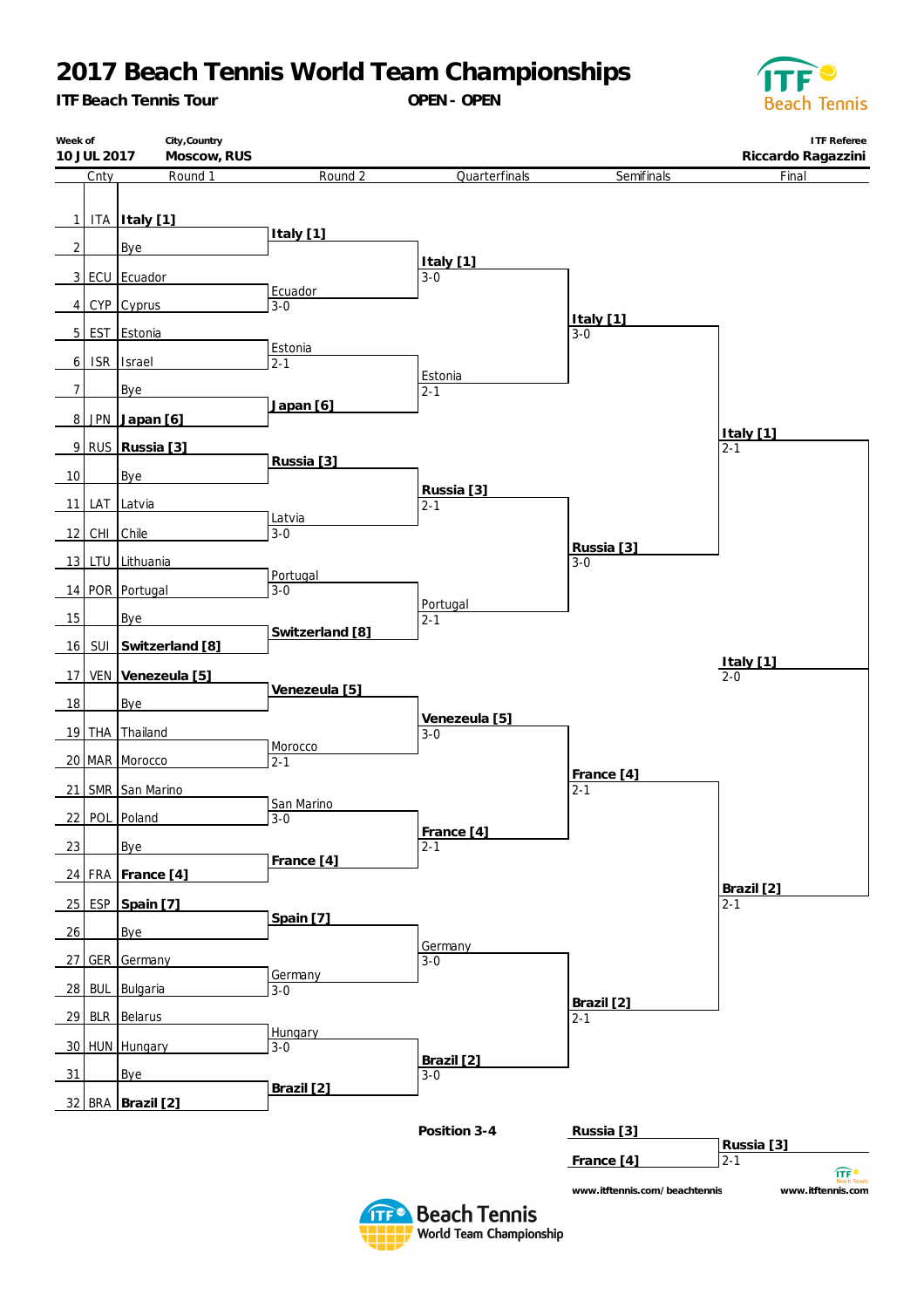## **2017 Beach Tennis World Team Championships**

*ITF Beach Tennis Tour*

**OPEN- OPEN**



| Week of<br>10 JUL 2017 | City, Country<br>Moscow, RUS |                    |                        |                               | <b>ITF Referee</b><br>Riccardo Ragazzini    |
|------------------------|------------------------------|--------------------|------------------------|-------------------------------|---------------------------------------------|
| Cnty                   | Round 1                      | Round 2            | Quarterfinals          | Semifinals                    | Final                                       |
|                        |                              |                    |                        |                               |                                             |
|                        | 1 ITA Italy [1]              | Italy [1]          |                        |                               |                                             |
| $2 \mid$               | Bye                          |                    | Italy [1]              |                               |                                             |
|                        | 3 ECU Ecuador                | Ecuador            | $3-0$                  |                               |                                             |
| 4                      | CYP Cyprus                   | $3 - 0$            |                        |                               |                                             |
|                        | 5 EST Estonia                |                    |                        | Italy [1]<br>$3 - 0$          |                                             |
| $6 \mid$               | ISR Israel                   | Estonia<br>$2 - 1$ |                        |                               |                                             |
| 7                      | Bye                          |                    | Estonia<br>$2 - 1$     |                               |                                             |
|                        | 8 JPN Japan [6]              | Japan [6]          |                        |                               |                                             |
|                        | 9 RUS Russia [3]             |                    |                        |                               | Italy [1]<br>$2 - 1$                        |
|                        |                              | Russia [3]         |                        |                               |                                             |
| 10                     | Bye                          |                    | Russia [3]             |                               |                                             |
|                        | 11 LAT Latvia                | Latvia             | $2 - 1$                |                               |                                             |
| 12 CHI Chile           |                              | $3 - 0$            |                        | Russia [3]                    |                                             |
|                        | 13 LTU Lithuania             | Portugal           |                        | $3-0$                         |                                             |
|                        | 14 POR Portugal              | $3 - 0$            | Portugal               |                               |                                             |
| 15                     | Bye                          | Switzerland [8]    | $2 - 1$                |                               |                                             |
| 16                     | SUI Switzerland [8]          |                    |                        |                               |                                             |
| 17                     | VEN Venezeula [5]            |                    |                        |                               | $\frac{Italy [1]}{2-0}$                     |
| 18                     | Bye                          | Venezeula [5]      |                        |                               |                                             |
|                        | 19 THA Thailand              |                    | Venezeula [5]<br>$3-0$ |                               |                                             |
|                        | 20 MAR Morocco               | Morocco<br>$2 - 1$ |                        |                               |                                             |
|                        | 21 SMR San Marino            |                    |                        | France [4]<br>$2 - 1$         |                                             |
|                        |                              | San Marino         |                        |                               |                                             |
|                        | 22 POL Poland                | $3 - 0$            | France [4]             |                               |                                             |
| 23                     | Bye                          | France [4]         | $2 - 1$                |                               |                                             |
|                        | 24 FRA France [4]            |                    |                        |                               | Brazil [2]                                  |
| 25                     | ESP Spain [7]                | Spain [7]          |                        |                               | $2 - 1$                                     |
| 26                     | Bye                          |                    |                        |                               |                                             |
|                        | 27 GER Germany               |                    | Germany<br>$3 - 0$     |                               |                                             |
| 28<br><b>BUL</b>       | Bulgaria                     | Germany<br>$3 - 0$ |                        |                               |                                             |
| 29                     | <b>BLR</b> Belarus           |                    |                        | Brazil [2]<br>$2 - 1$         |                                             |
|                        | 30 HUN Hungary               | Hungary<br>$3 - 0$ |                        |                               |                                             |
| 31                     | <b>Bye</b>                   |                    | Brazil [2]<br>$3-0$    |                               |                                             |
|                        |                              | Brazil [2]         |                        |                               |                                             |
|                        | 32 BRA Brazil [2]            |                    |                        |                               |                                             |
|                        |                              |                    | Position 3-4           | Russia [3]                    | Russia [3]                                  |
|                        |                              |                    |                        | France [4]                    | $2 - 1$<br>$\widehat{\mathsf{ITF}}^\bullet$ |
|                        |                              |                    |                        | www.itftennis.com/beachtennis | www.itftennis.com                           |

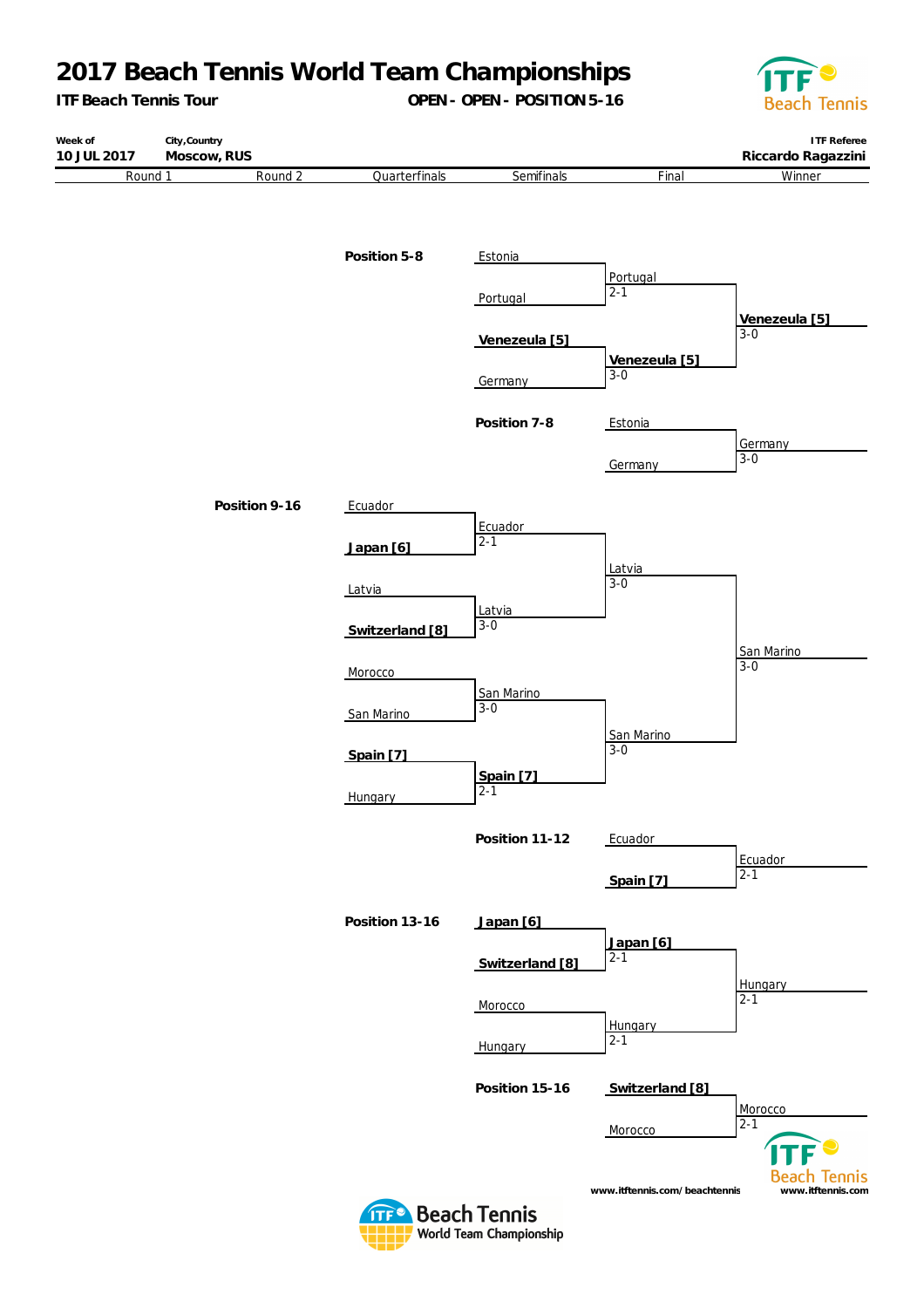## **2017 Beach Tennis World Team Championships**

*ITF Beach Tennis Tour*

**OPEN- OPEN- POSITION5-16**



**ITF Referee Week of City,Country 10 JUL 2017 Moscow, RUS Riccardo Ragazzini** Round 1 Round 2 Quarterfinals **Semifinals** Final **Winner Position 5-8** Estonia Portugal 2-1 **Portugal Venezeula [5]** 3-0 **Venezeula [5] Venezeula [5]** 3-0 **Germany Position 7-8** Estonia Germany  $3 - 0$ **Germany Position 9-16** Ecuador Ecuador  $2 - 1$ **Japan [6]** Latvia 3-0 Latvia Latvia 3-0 **Switzerland [8]** San Marino 3-0 Morocco San Marino 3-0 San Marino San Marino  $3 - 0$ **Spain [7] Spain [7]** 2-1 Hungary Position 11-12 Ecuador Ecuador 2-1 **Spain [7] Position 13-16 Japan [6] Japan [6]**  $\overline{2-1}$ **Switzerland [8] Hungary**  $\overline{2-1}$ **Morocco Hungary**  $2 - 1$ Hungary **Position 15-16 Switzerland [8]** Morocco 2-1 Morocco **Beach Tennis www.itftennis.com/beachtennis www.itftennis.com**